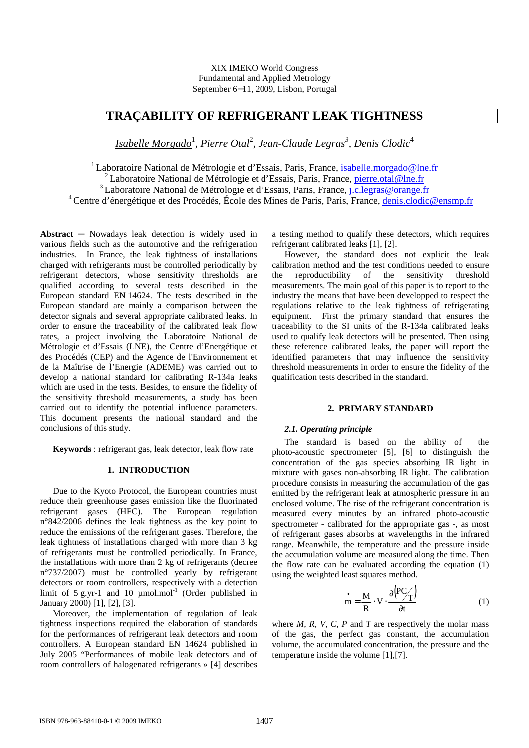XIX IMEKO World Congress Fundamental and Applied Metrology September 6−11, 2009, Lisbon, Portugal

# **TRAÇABILITY OF REFRIGERANT LEAK TIGHTNESS**

 $Isabelle$   $Morgado$ <sup>1</sup>, Pierre Otal<sup>2</sup>, Jean-Claude Legras<sup>3</sup>, Denis Clodic<sup>4</sup>

<sup>1</sup> Laboratoire National de Métrologie et d'Essais, Paris, France, *isabelle.morgado*@lne.fr

<sup>2</sup> Laboratoire National de Métrologie et d'Essais, Paris, France, *pierre.otal@lne.fr* 

<sup>3</sup> Laboratoire National de Métrologie et d'Essais, Paris, France, *j.c.legras@orange.fr* 

<sup>4</sup> Centre d'énergétique et des Procédés, École des Mines de Paris, Paris, France, denis.clodic@ensmp.fr

**Abstract** ─ Nowadays leak detection is widely used in various fields such as the automotive and the refrigeration industries. In France, the leak tightness of installations charged with refrigerants must be controlled periodically by refrigerant detectors, whose sensitivity thresholds are qualified according to several tests described in the European standard EN 14624. The tests described in the European standard are mainly a comparison between the detector signals and several appropriate calibrated leaks. In order to ensure the traceability of the calibrated leak flow rates, a project involving the Laboratoire National de Métrologie et d'Essais (LNE), the Centre d'Energétique et des Procédés (CEP) and the Agence de l'Environnement et de la Maîtrise de l'Energie (ADEME) was carried out to develop a national standard for calibrating R-134a leaks which are used in the tests. Besides, to ensure the fidelity of the sensitivity threshold measurements, a study has been carried out to identify the potential influence parameters. This document presents the national standard and the conclusions of this study.

**Keywords** : refrigerant gas, leak detector, leak flow rate

## **1. INTRODUCTION**

Due to the Kyoto Protocol, the European countries must reduce their greenhouse gases emission like the fluorinated refrigerant gases (HFC). The European regulation n°842/2006 defines the leak tightness as the key point to reduce the emissions of the refrigerant gases. Therefore, the leak tightness of installations charged with more than 3 kg of refrigerants must be controlled periodically. In France, the installations with more than 2 kg of refrigerants (decree n°737/2007) must be controlled yearly by refrigerant detectors or room controllers, respectively with a detection limit of 5 g.yr-1 and 10  $\mu$ mol.mol<sup>-1</sup> (Order published in January 2000) [1], [2], [3].

Moreover, the implementation of regulation of leak tightness inspections required the elaboration of standards for the performances of refrigerant leak detectors and room controllers. A European standard EN 14624 published in July 2005 "Performances of mobile leak detectors and of room controllers of halogenated refrigerants » [4] describes

a testing method to qualify these detectors, which requires refrigerant calibrated leaks [1], [2].

However, the standard does not explicit the leak calibration method and the test conditions needed to ensure the reproductibility of the sensitivity threshold measurements. The main goal of this paper is to report to the industry the means that have been developped to respect the regulations relative to the leak tightness of refrigerating equipment. First the primary standard that ensures the traceability to the SI units of the R-134a calibrated leaks used to qualify leak detectors will be presented. Then using these reference calibrated leaks, the paper will report the identified parameters that may influence the sensitivity threshold measurements in order to ensure the fidelity of the qualification tests described in the standard.

## **2. PRIMARY STANDARD**

#### *2.1. Operating principle*

The standard is based on the ability of the photo-acoustic spectrometer [5], [6] to distinguish the concentration of the gas species absorbing IR light in mixture with gases non-absorbing IR light. The calibration procedure consists in measuring the accumulation of the gas emitted by the refrigerant leak at atmospheric pressure in an enclosed volume. The rise of the refrigerant concentration is measured every minutes by an infrared photo-acoustic spectrometer - calibrated for the appropriate gas -, as most of refrigerant gases absorbs at wavelengths in the infrared range. Meanwhile, the temperature and the pressure inside the accumulation volume are measured along the time. Then the flow rate can be evaluated according the equation (1) using the weighted least squares method.

$$
\mathbf{m} = \frac{\mathbf{M}}{\mathbf{R}} \cdot \mathbf{V} \cdot \frac{\partial (\mathbf{PC}_{\mathbf{T}})}{\partial t}
$$
 (1)

where *M*, *R*, *V*, *C*, *P* and *T* are respectively the molar mass of the gas, the perfect gas constant, the accumulation volume, the accumulated concentration, the pressure and the temperature inside the volume [1],[7].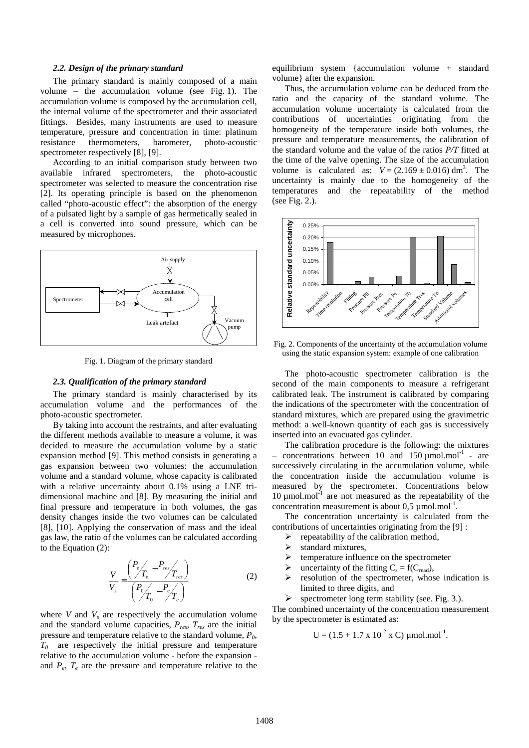#### *2.2. Design of the primary standard*

The primary standard is mainly composed of a main volume – the accumulation volume (see Fig. 1). The accumulation volume is composed by the accumulation cell, the internal volume of the spectrometer and their associated fittings. Besides, many instruments are used to measure temperature, pressure and concentration in time: platinum resistance thermometers, barometer, photo-acoustic spectrometer respectively [8], [9].

According to an initial comparison study between two available infrared spectrometers, the photo-acoustic spectrometer was selected to measure the concentration rise [2]. Its operating principle is based on the phenomenon called "photo-acoustic effect": the absorption of the energy of a pulsated light by a sample of gas hermetically sealed in a cell is converted into sound pressure, which can be measured by microphones.



Fig. 1. Diagram of the primary standard

# *2.3. Qualification of the primary standard*

The primary standard is mainly characterised by its accumulation volume and the performances of the photo-acoustic spectrometer.

By taking into account the restraints, and after evaluating the different methods available to measure a volume, it was decided to measure the accumulation volume by a static expansion method [9]. This method consists in generating a gas expansion between two volumes: the accumulation volume and a standard volume, whose capacity is calibrated with a relative uncertainty about 0.1% using a LNE tridimensional machine and [8]. By measuring the initial and final pressure and temperature in both volumes, the gas density changes inside the two volumes can be calculated [8], [10]. Applying the conservation of mass and the ideal gas law, the ratio of the volumes can be calculated according to the Equation (2):

$$
\frac{V}{V_s} = \frac{\left(\frac{P_e}{T_e} - \frac{P_{res}}{T_{res}}\right)}{\left(\frac{P_0}{T_0} - \frac{P_e}{T_e}\right)}\tag{2}
$$

where  $V$  and  $V_s$  are respectively the accumulation volume and the standard volume capacities,  $P_{res}$ ,  $T_{res}$  are the initial pressure and temperature relative to the standard volume, *P0*,  $T_0$  are respectively the initial pressure and temperature relative to the accumulation volume - before the expansion and  $P_e$ ,  $T_e$  are the pressure and temperature relative to the equilibrium system {accumulation volume + standard volume} after the expansion.

Thus, the accumulation volume can be deduced from the ratio and the capacity of the standard volume. The accumulation volume uncertainty is calculated from the contributions of uncertainties originating from the homogeneity of the temperature inside both volumes, the pressure and temperature measurements, the calibration of the standard volume and the value of the ratios *P/T* fitted at the time of the valve opening. The size of the accumulation volume is calculated as:  $V = (2.169 \pm 0.016) \text{ dm}^3$ . The uncertainty is mainly due to the homogeneity of the temperatures and the repeatability of the method (see Fig. 2.).



Fig. 2. Components of the uncertainty of the accumulation volume using the static expansion system: example of one calibration

The photo-acoustic spectrometer calibration is the second of the main components to measure a refrigerant calibrated leak. The instrument is calibrated by comparing the indications of the spectrometer with the concentration of standard mixtures, which are prepared using the gravimetric method: a well-known quantity of each gas is successively inserted into an evacuated gas cylinder.

The calibration procedure is the following: the mixtures – concentrations between 10 and 150  $\mu$ mol.mol<sup>-1</sup> - are successively circulating in the accumulation volume, while the concentration inside the accumulation volume is measured by the spectrometer. Concentrations below  $10 \mu$ mol.mol $^{-1}$  are not measured as the repeatability of the concentration measurement is about  $0.5 \mu$  mol.mol<sup>-1</sup>.

The concentration uncertainty is calculated from the contributions of uncertainties originating from the [9] :

- $\triangleright$  repeatability of the calibration method,
- $\triangleright$  standard mixtures,
- $\triangleright$  temperature influence on the spectrometer
- $\triangleright$  uncertainty of the fitting  $C_s = f(C_{\text{read}})$ ,
- $\triangleright$  resolution of the spectrometer, whose indication is limited to three digits, and
- $\triangleright$  spectrometer long term stability (see. Fig. 3.).

The combined uncertainty of the concentration measurement by the spectrometer is estimated as:

$$
U = (1.5 + 1.7 \times 10^{-2} \times C) \mu mol.mol^{-1}.
$$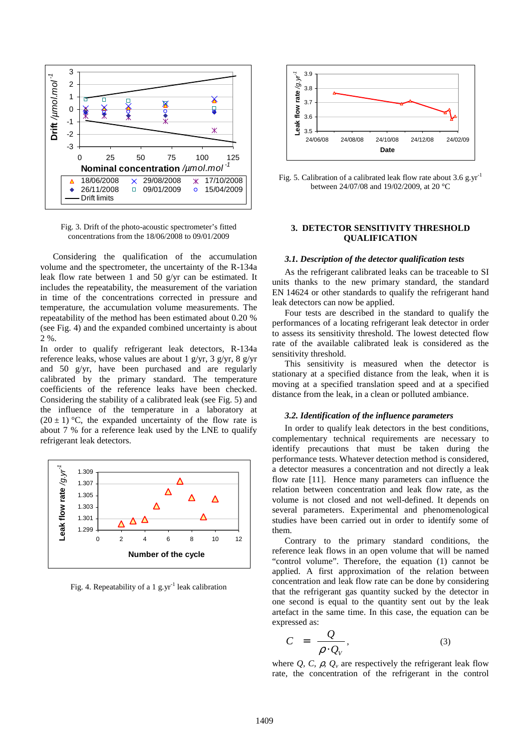

Fig. 3. Drift of the photo-acoustic spectrometer's fitted concentrations from the 18/06/2008 to 09/01/2009

Considering the qualification of the accumulation volume and the spectrometer, the uncertainty of the R-134a leak flow rate between 1 and 50 g/yr can be estimated. It includes the repeatability, the measurement of the variation in time of the concentrations corrected in pressure and temperature, the accumulation volume measurements. The repeatability of the method has been estimated about 0.20 % (see Fig. 4) and the expanded combined uncertainty is about  $2.96$ 

In order to qualify refrigerant leak detectors, R-134a reference leaks, whose values are about 1 g/yr, 3 g/yr, 8 g/yr and 50 g/yr, have been purchased and are regularly calibrated by the primary standard. The temperature coefficients of the reference leaks have been checked. Considering the stability of a calibrated leak (see Fig. 5) and the influence of the temperature in a laboratory at  $(20 \pm 1)$  °C, the expanded uncertainty of the flow rate is about 7 % for a reference leak used by the LNE to qualify refrigerant leak detectors.



Fig. 4. Repeatability of a 1 g.yr<sup>-1</sup> leak calibration



Fig. 5. Calibration of a calibrated leak flow rate about 3.6 g.yr<sup>-1</sup> between 24/07/08 and 19/02/2009, at 20 °C

# **3. DETECTOR SENSITIVITY THRESHOLD QUALIFICATION**

# *3.1. Description of the detector qualification tests*

As the refrigerant calibrated leaks can be traceable to SI units thanks to the new primary standard, the standard EN 14624 or other standards to qualify the refrigerant hand leak detectors can now be applied.

Four tests are described in the standard to qualify the performances of a locating refrigerant leak detector in order to assess its sensitivity threshold. The lowest detected flow rate of the available calibrated leak is considered as the sensitivity threshold.

This sensitivity is measured when the detector is stationary at a specified distance from the leak, when it is moving at a specified translation speed and at a specified distance from the leak, in a clean or polluted ambiance.

### *3.2. Identification of the influence parameters*

In order to qualify leak detectors in the best conditions, complementary technical requirements are necessary to identify precautions that must be taken during the performance tests. Whatever detection method is considered, a detector measures a concentration and not directly a leak flow rate [11]. Hence many parameters can influence the relation between concentration and leak flow rate, as the volume is not closed and not well-defined. It depends on several parameters. Experimental and phenomenological studies have been carried out in order to identify some of them.

Contrary to the primary standard conditions, the reference leak flows in an open volume that will be named "control volume". Therefore, the equation (1) cannot be applied. A first approximation of the relation between concentration and leak flow rate can be done by considering that the refrigerant gas quantity sucked by the detector in one second is equal to the quantity sent out by the leak artefact in the same time. In this case, the equation can be expressed as:

$$
C = \frac{Q}{\rho \cdot Q_V}, \tag{3}
$$

where  $Q$ ,  $C$ ,  $\rho$ ,  $Q$ <sup>*v*</sup> are respectively the refrigerant leak flow rate, the concentration of the refrigerant in the control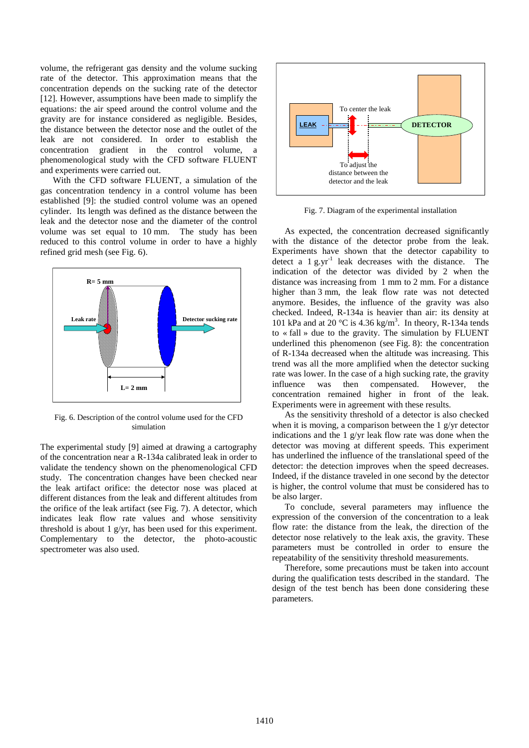volume, the refrigerant gas density and the volume sucking rate of the detector. This approximation means that the concentration depends on the sucking rate of the detector [12]. However, assumptions have been made to simplify the equations: the air speed around the control volume and the gravity are for instance considered as negligible. Besides, the distance between the detector nose and the outlet of the leak are not considered. In order to establish the concentration gradient in the control volume, a phenomenological study with the CFD software FLUENT and experiments were carried out.

With the CFD software FLUENT, a simulation of the gas concentration tendency in a control volume has been established [9]: the studied control volume was an opened cylinder. Its length was defined as the distance between the leak and the detector nose and the diameter of the control volume was set equal to 10 mm. The study has been reduced to this control volume in order to have a highly refined grid mesh (see Fig. 6).



Fig. 6. Description of the control volume used for the CFD simulation

The experimental study [9] aimed at drawing a cartography of the concentration near a R-134a calibrated leak in order to validate the tendency shown on the phenomenological CFD study. The concentration changes have been checked near the leak artifact orifice: the detector nose was placed at different distances from the leak and different altitudes from the orifice of the leak artifact (see Fig. 7). A detector, which indicates leak flow rate values and whose sensitivity threshold is about 1 g/yr, has been used for this experiment. Complementary to the detector, the photo-acoustic spectrometer was also used.



Fig. 7. Diagram of the experimental installation

As expected, the concentration decreased significantly with the distance of the detector probe from the leak. Experiments have shown that the detector capability to detect a  $1 \text{ g.yr}^{-1}$  leak decreases with the distance. The indication of the detector was divided by 2 when the distance was increasing from 1 mm to 2 mm. For a distance higher than 3 mm, the leak flow rate was not detected anymore. Besides, the influence of the gravity was also checked. Indeed, R-134a is heavier than air: its density at 101 kPa and at 20 °C is 4.36 kg/m<sup>3</sup>. In theory, R-134a tends to « fall » due to the gravity. The simulation by FLUENT underlined this phenomenon (see Fig. 8): the concentration of R-134a decreased when the altitude was increasing. This trend was all the more amplified when the detector sucking rate was lower. In the case of a high sucking rate, the gravity influence was then compensated. However, the concentration remained higher in front of the leak. Experiments were in agreement with these results.

As the sensitivity threshold of a detector is also checked when it is moving, a comparison between the 1 g/yr detector indications and the 1 g/yr leak flow rate was done when the detector was moving at different speeds. This experiment has underlined the influence of the translational speed of the detector: the detection improves when the speed decreases. Indeed, if the distance traveled in one second by the detector is higher, the control volume that must be considered has to be also larger.

To conclude, several parameters may influence the expression of the conversion of the concentration to a leak flow rate: the distance from the leak, the direction of the detector nose relatively to the leak axis, the gravity. These parameters must be controlled in order to ensure the repeatability of the sensitivity threshold measurements.

Therefore, some precautions must be taken into account during the qualification tests described in the standard. The design of the test bench has been done considering these parameters.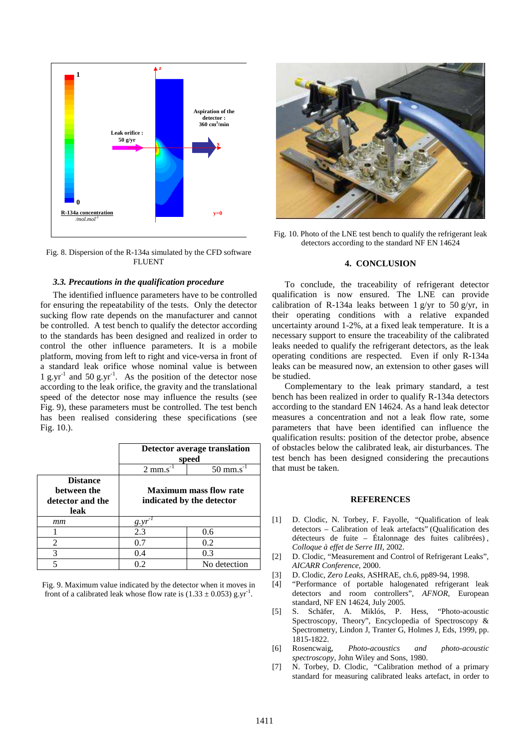

Fig. 8. Dispersion of the R-134a simulated by the CFD software FLUENT

# *3.3. Precautions in the qualification procedure*

The identified influence parameters have to be controlled for ensuring the repeatability of the tests. Only the detector sucking flow rate depends on the manufacturer and cannot be controlled. A test bench to qualify the detector according to the standards has been designed and realized in order to control the other influence parameters. It is a mobile platform, moving from left to right and vice-versa in front of a standard leak orifice whose nominal value is between 1 g.yr<sup>-1</sup> and 50 g.yr<sup>-1</sup>. As the position of the detector nose according to the leak orifice, the gravity and the translational speed of the detector nose may influence the results (see Fig. 9), these parameters must be controlled. The test bench has been realised considering these specifications (see Fig. 10.).

|                                                            | Detector average translation<br>speed                      |                    |
|------------------------------------------------------------|------------------------------------------------------------|--------------------|
|                                                            | $2 \text{ mm}$ .s                                          | $50 \text{ mm}$ .s |
| <b>Distance</b><br>between the<br>detector and the<br>leak | <b>Maximum mass flow rate</b><br>indicated by the detector |                    |
| mт                                                         | g.yr                                                       |                    |
|                                                            | 2.3                                                        | 0.6                |
| 2                                                          | 0.7                                                        | 0.2                |
| 3                                                          | 0.4                                                        | 0.3                |
| 5                                                          | 0.2                                                        | No detection       |

Fig. 9. Maximum value indicated by the detector when it moves in front of a calibrated leak whose flow rate is  $(1.33 \pm 0.053)$  g.yr<sup>-1</sup>.



Fig. 10. Photo of the LNE test bench to qualify the refrigerant leak detectors according to the standard NF EN 14624

# **4. CONCLUSION**

To conclude, the traceability of refrigerant detector qualification is now ensured. The LNE can provide calibration of R-134a leaks between 1 g/yr to 50 g/yr, in their operating conditions with a relative expanded uncertainty around 1-2%, at a fixed leak temperature. It is a necessary support to ensure the traceability of the calibrated leaks needed to qualify the refrigerant detectors, as the leak operating conditions are respected. Even if only R-134a leaks can be measured now, an extension to other gases will be studied.

Complementary to the leak primary standard, a test bench has been realized in order to qualify R-134a detectors according to the standard EN 14624. As a hand leak detector measures a concentration and not a leak flow rate, some parameters that have been identified can influence the qualification results: position of the detector probe, absence of obstacles below the calibrated leak, air disturbances. The test bench has been designed considering the precautions that must be taken.

# **REFERENCES**

- [1] D. Clodic, N. Torbey, F. Fayolle, "Qualification of leak detectors – Calibration of leak artefacts" (Qualification des détecteurs de fuite – Étalonnage des fuites calibrées) , *Colloque à effet de Serre III*, 2002.
- [2] D. Clodic, "Measurement and Control of Refrigerant Leaks", *AICARR Conference*, 2000.
- [3] D. Clodic, *Zero Leaks*, ASHRAE, ch.6, pp89-94, 1998.
- [4] "Performance of portable halogenated refrigerant leak detectors and room controllers"*, AFNOR,* European standard, NF EN 14624, July 2005*.*
- [5] S. Schäfer, A. Miklós, P. Hess, "Photo-acoustic Spectroscopy, Theory", Encyclopedia of Spectroscopy & Spectrometry, Lindon J, Tranter G, Holmes J, Eds, 1999, pp. 1815-1822.<br>Rosencwaig,
- [6] Rosencwaig, *Photo-acoustics and photo-acoustic spectroscopy,* John Wiley and Sons, 1980.
- [7] N. Torbey, D. Clodic, "Calibration method of a primary standard for measuring calibrated leaks artefact, in order to